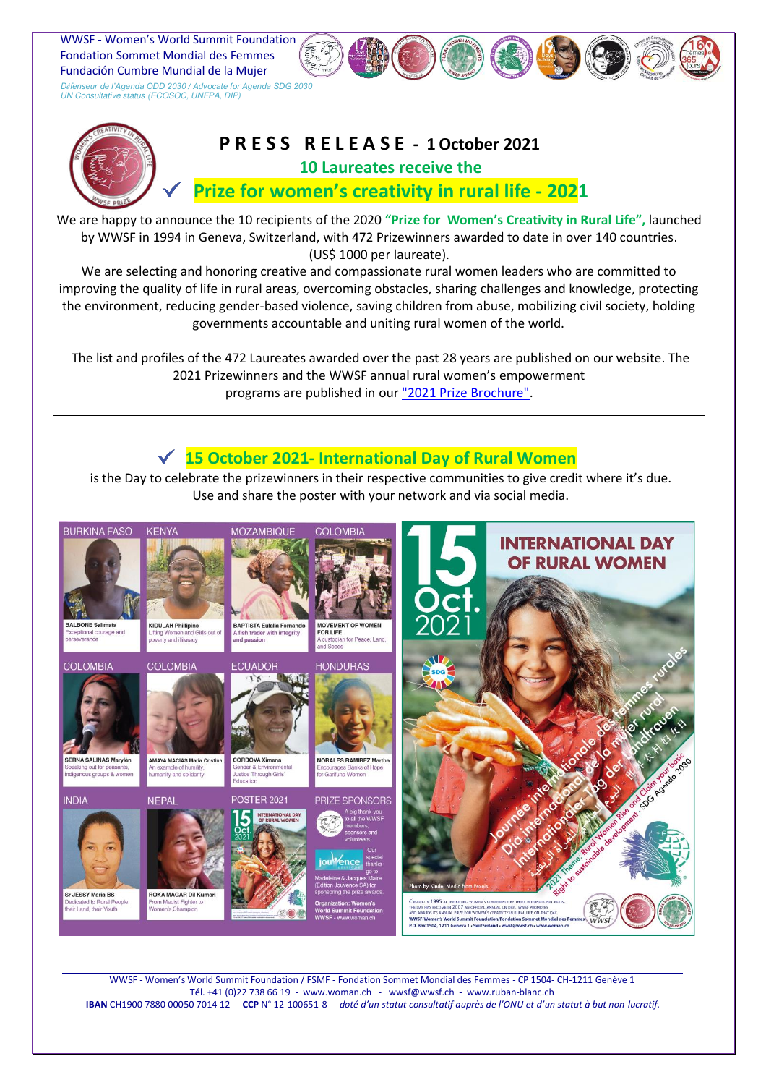Fondation Sommet Mondial des Femmes WWSF - Women's World Summit Foundation Fundación Cumbre Mundial de la Mujer

D*éfenseur de l'Agenda ODD 2030 / Advocate for Agenda SDG 2030* UN Consultative status (ECOSOC, UNFPA, DIP)



## **P R E S S R E L E A S E - 1 October 2021 10 Laureates receive the**

## **Prize for women's creativity in rural life - 2021**

We are happy to announce the 10 recipients of the 2020 **"Prize for Women's Creativity in Rural Life",** launched by WWSF in 1994 in Geneva, Switzerland, with 472 Prizewinners awarded to date in over 140 countries. (US\$ 1000 per laureate).

We are selecting and honoring creative and compassionate rural women leaders who are committed to improving the quality of life in rural areas, overcoming obstacles, sharing challenges and knowledge, protecting the environment, reducing gender-based violence, saving children from abuse, mobilizing civil society, holding governments accountable and uniting rural women of the world.

 The list and profiles of the 472 Laureates awarded over the past 28 years are published on our website. The 2021 Prizewinners and the WWSF annual rural women's empowerment programs are published in our ["2021 Prize Brochure".](https://www.woman.ch/wp-content/uploads/2021/09/2021-PrizeBrochure.En_.FI-Li.14.09.Hu_.pdf)

## **15 October 2021- International Day of Rural Women**

is the Day to celebrate the prizewinners in their respective communities to give credit where it's due. Use and share the poster with your network and via social media.



WWSF - Women's World Summit Foundation / FSMF - Fondation Sommet Mondial des Femmes - CP 1504- CH-1211 Genève 1 Tél. +41 (0)22 738 66 19 - www.woman.ch - wwsf@wwsf.ch - www.ruban-blanc.ch **IBAN** CH1900 7880 00050 7014 12- **CCP** N° 12-100651-8 - *doté d'un statut consultatif auprès de l'ONU et d'un statut à but non-lucratif.*